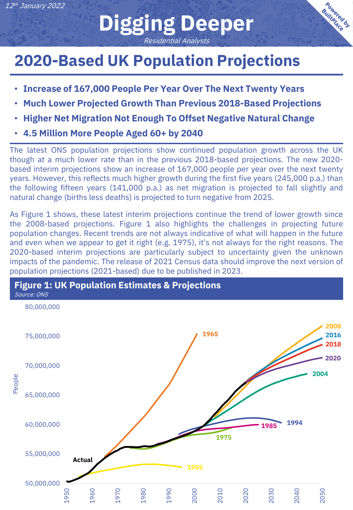## **Digging Deeper** Residential Analysts

**Bowered by** 

## **2020-Based UK Population Projections**

- **Increase of 167,000 People Per Year Over The Next Twenty Years**
- **Much Lower Projected Growth Than Previous 2018-Based Projections**
- **Higher Net Migration Not Enough To Offset Negative Natural Change**
- **4.5 Million More People Aged 60+ by 2040**

The latest ONS population projections show continued population growth across the UK though at a much lower rate than in the previous 2018-based projections. The new 2020 based interim projections show an increase of 167,000 people per year over the next twenty years. However, this reflects much higher growth during the first five years (245,000 p.a.) than the following fifteen years (141,000 p.a.) as net migration is projected to fall slightly and natural change (births less deaths) is projected to turn negative from 2025.

As Figure 1 shows, these latest interim projections continue the trend of lower growth since the 2008-based projections. Figure 1 also highlights the challenges in projecting future population changes. Recent trends are not always indicative of what will happen in the future and even when we appear to get it right (e.g. 1975), it's not always for the right reasons. The 2020-based interim projections are particularly subject to uncertainty given the unknown impacts of the pandemic. The release of 2021 Census data should improve the next version of population projections (2021-based) due to be published in 2023.